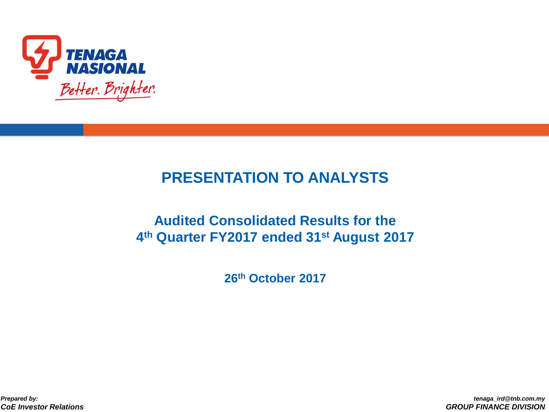

### **PRESENTATION TO ANALYSTS**

### **Audited Consolidated Results for the 4 th Quarter FY2017 ended 31st August 2017**

**26th October 2017**

*Prepared by: CoE Investor Relations*

*tenaga\_ird@tnb.com.my GROUP FINANCE DIVISION*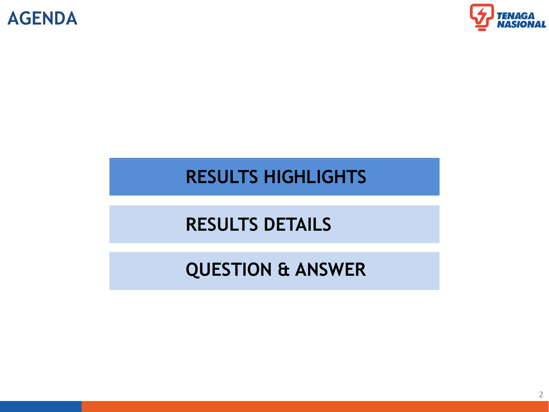



### **RESULTS HIGHLIGHTS**

# **RESULTS DETAILS**

# **QUESTION & ANSWER**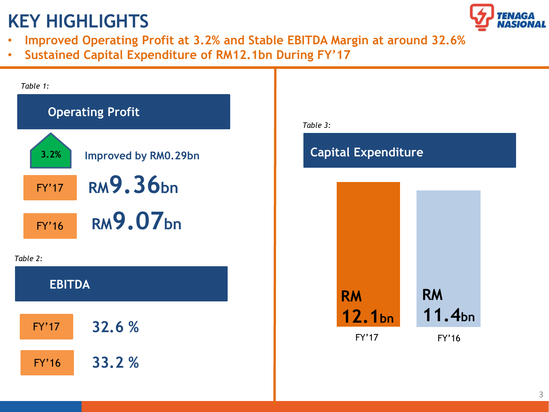# **KEY HIGHLIGHTS**



- **Improved Operating Profit at 3.2% and Stable EBITDA Margin at around 32.6%**
- **Sustained Capital Expenditure of RM12.1bn During FY'17**

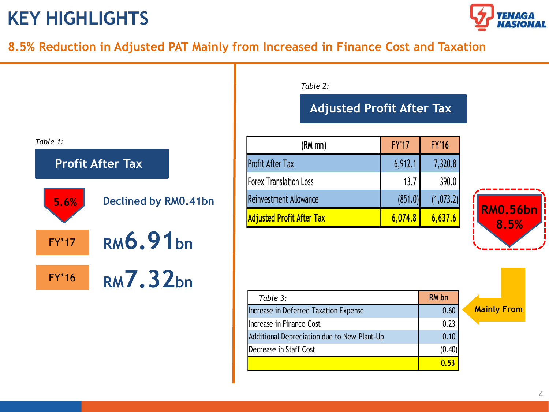# **KEY HIGHLIGHTS**



### **8.5% Reduction in Adjusted PAT Mainly from Increased in Finance Cost and Taxation**



#### *Table 2:*

### **Adjusted Profit After Tax**

| $(RM$ mn $)$                     | <b>FY'17</b> | <b>FY'16</b> |
|----------------------------------|--------------|--------------|
| <b>Profit After Tax</b>          | 6,912.1      | 7,320.8      |
| <b>Forex Translation Loss</b>    | 13.7         | 390.0        |
| Reinvestment Allowance           | (851.0)      | (1,073.2)    |
| <b>Adjusted Profit After Tax</b> | 6,074.8      | 6,637.6      |



| Table 3:                                    | RM bn  |  |
|---------------------------------------------|--------|--|
| Increase in Deferred Taxation Expense       | 0.60   |  |
| Increase in Finance Cost                    | 0.23   |  |
| Additional Depreciation due to New Plant-Up | 0.10   |  |
| Decrease in Staff Cost                      | (0.40) |  |
|                                             | 0.53   |  |

**Mainly From**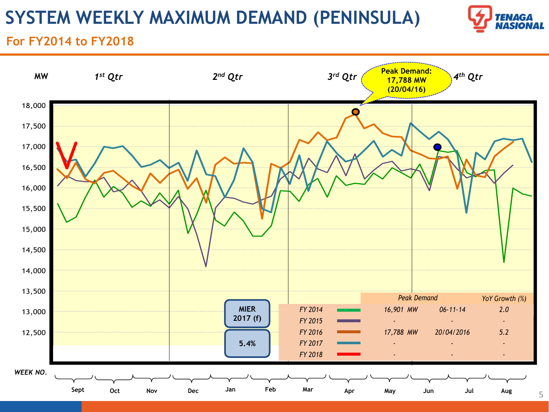# **SYSTEM WEEKLY MAXIMUM DEMAND (PENINSULA)**



### **For FY2014 to FY2018**

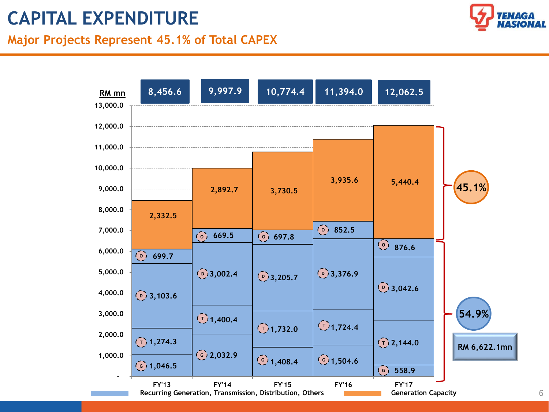# **CAPITAL EXPENDITURE**

### **Major Projects Represent 45.1% of Total CAPEX**





6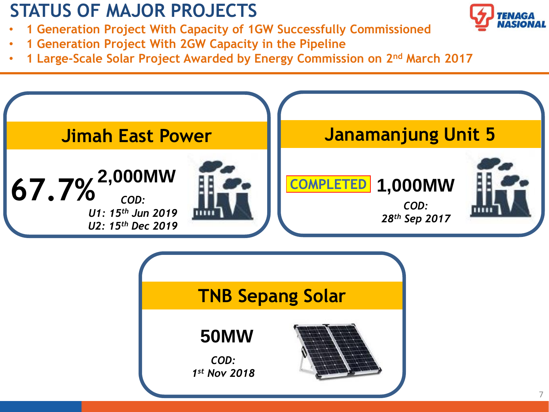# **STATUS OF MAJOR PROJECTS**

- **1 Generation Project With Capacity of 1GW Successfully Commissioned**
- **1 Generation Project With 2GW Capacity in the Pipeline**
- **1 Large-Scale Solar Project Awarded by Energy Commission on 2nd March 2017**



| <b>TNB Sepang Solar</b> |
|-------------------------|
|                         |
|                         |
|                         |

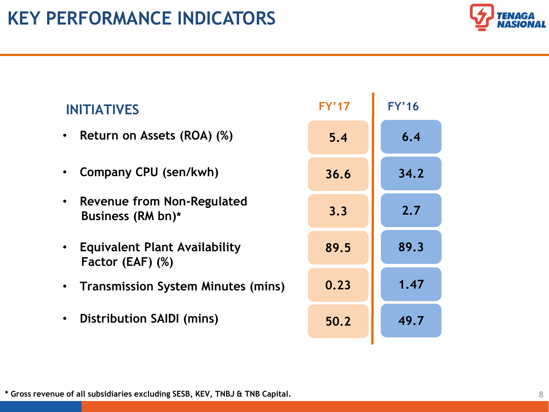

| <b>INITIATIVES</b>                                  | <b>FY'17</b> | <b>FY'16</b> |
|-----------------------------------------------------|--------------|--------------|
| • Return on Assets (ROA) (%)                        | 5.4          | 6.4          |
| Company CPU (sen/kwh)                               | 36.6         | 34.2         |
| • Revenue from Non-Regulated<br>Business (RM bn)*   | 3.3          | 2.7          |
| • Equivalent Plant Availability<br>Factor (EAF) (%) | 89.5         | 89.3         |
| • Transmission System Minutes (mins)                | 0.23         | 1.47         |
| Distribution SAIDI (mins)<br>$\bullet$              | 50.2         | 49.7         |

**\* Gross revenue of all subsidiaries excluding SESB, KEV, TNBJ & TNB Capital.**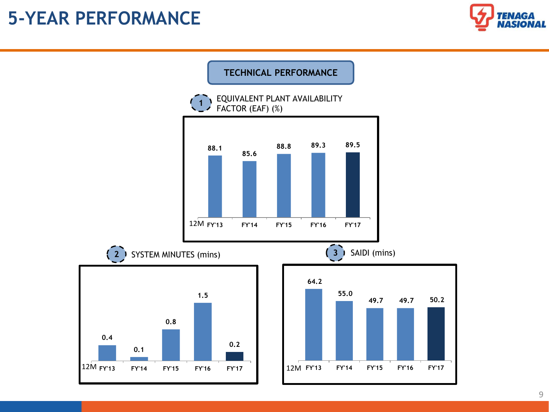### **5-YEAR PERFORMANCE**





#### 9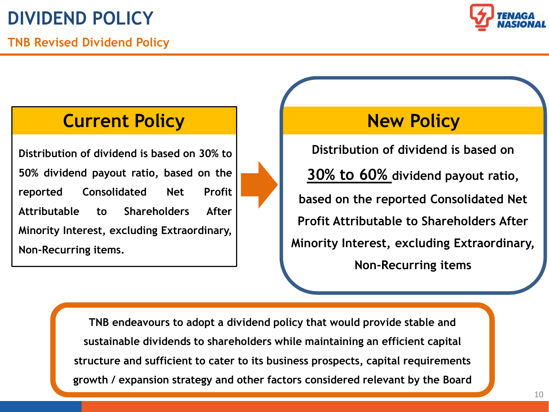

### **Current Policy New Policy**

**Distribution of dividend is based on 30% to 50% dividend payout ratio, based on the reported Consolidated Net Profit Attributable to Shareholders After Minority Interest, excluding Extraordinary, Non-Recurring items.**

**Distribution of dividend is based on 30% to 60% dividend payout ratio, based on the reported Consolidated Net Profit Attributable to Shareholders After Minority Interest, excluding Extraordinary, Non-Recurring items** 

**TNB endeavours to adopt a dividend policy that would provide stable and sustainable dividends to shareholders while maintaining an efficient capital structure and sufficient to cater to its business prospects, capital requirements growth / expansion strategy and other factors considered relevant by the Board**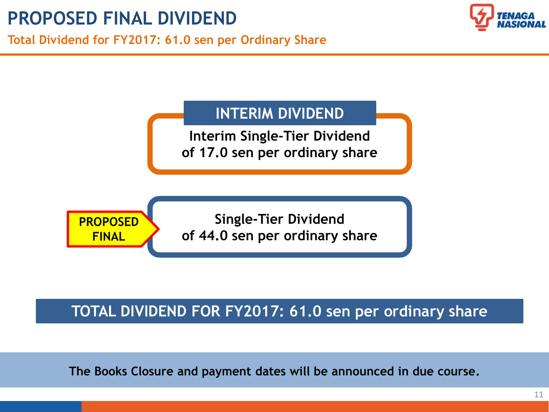

### **INTERIM DIVIDEND**

**Interim Single-Tier Dividend of 17.0 sen per ordinary share**



### **TOTAL DIVIDEND FOR FY2017: 61.0 sen per ordinary share**

**The Books Closure and payment dates will be announced in due course.**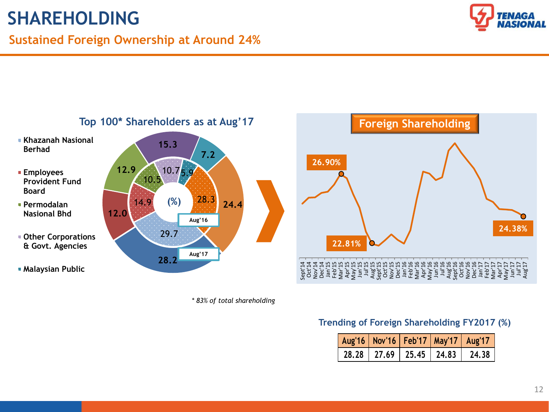# **SHAREHOLDING**

### **Sustained Foreign Ownership at Around 24%**





*\* 83% of total shareholding*



### **Trending of Foreign Shareholding FY2017 (%)**

| Aug'16   Nov'16   Feb'17   May'17   Aug'17 |                                 |  |        |
|--------------------------------------------|---------------------------------|--|--------|
|                                            | $28.28$   27.69   25.45   24.83 |  | 124.38 |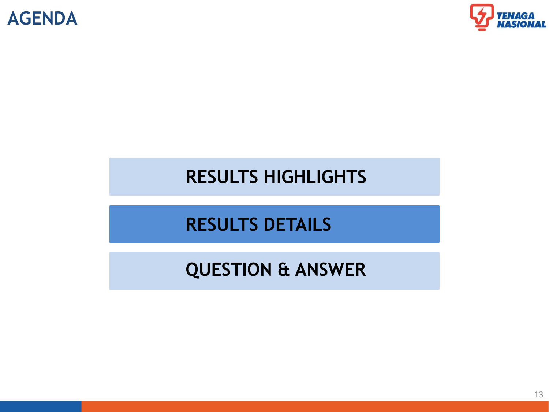



### **RESULTS HIGHLIGHTS**

# **RESULTS DETAILS**

# **QUESTION & ANSWER**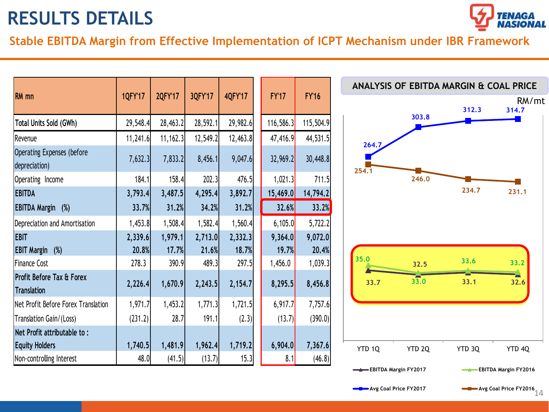

**Stable EBITDA Margin from Effective Implementation of ICPT Mechanism under IBR Framework**

| <b>RM</b> mn                                    | 1QFY'17  | 2QFY'17  | 3QFY'17  | <b>4QFY'17</b> | <b>FY'17</b> | <b>FY'16</b> |
|-------------------------------------------------|----------|----------|----------|----------------|--------------|--------------|
| Total Units Sold (GWh)                          | 29,548.4 | 28,463.2 | 28,592.1 | 29,982.6       | 116,586.3    | 115,504.9    |
| Revenue                                         | 11,241.6 | 11,162.3 | 12,549.2 | 12,463.8       | 47,416.9     | 44,531.5     |
| Operating Expenses (before<br>depreciation)     | 7,632.3  | 7,833.2  | 8,456.1  | 9,047.6        | 32,969.2     | 30,448.8     |
| Operating Income                                | 184.1    | 158.4    | 202.3    | 476.5          | 1,021.3      | 711.5        |
| <b>EBITDA</b>                                   | 3,793.4  | 3,487.5  | 4,295.4  | 3,892.7        | 15,469.0     | 14,794.2     |
| <b>EBITDA Margin</b> (%)                        | 33.7%    | 31.2%    | 34.2%    | 31.2%          | 32.6%        | 33.2%        |
| Depreciation and Amortisation                   | 1,453.8  | 1,508.4  | 1,582.4  | 1,560.4        | 6,105.0      | 5,722.2      |
| <b>EBIT</b>                                     | 2,339.6  | 1,979.1  | 2,713.0  | 2,332.3        | 9,364.0      | 9,072.0      |
| <b>EBIT Margin</b><br>(%)                       | 20.8%    | 17.7%    | 21.6%    | 18.7%          | <b>19.7%</b> | 20.4%        |
| <b>Finance Cost</b>                             | 278.3    | 390.9    | 489.3    | 297.5          | 1,456.0      | 1,039.3      |
| Profit Before Tax & Forex<br><b>Translation</b> | 2,226.4  | 1,670.9  | 2,243.5  | 2,154.7        | 8,295.5      | 8,456.8      |
| Net Profit Before Forex Translation             | 1,971.7  | 1,453.2  | 1,771.3  | 1,721.5        | 6,917.7      | 7,757.6      |
| Translation Gain/(Loss)                         | (231.2)  | 28.7     | 191.1    | (2.3)          | (13.7)       | (390.0)      |
| Net Profit attributable to:                     |          |          |          |                |              |              |
| <b>Equity Holders</b>                           | 1,740.5  | 1,481.9  | 1,962.4  | 1,719.2        | 6,904.0      | 7,367.6      |
| Non-controlling Interest                        | 48.0     | (41.5)   | (13.7)   | 15.3           | 8.1          | (46.8)       |

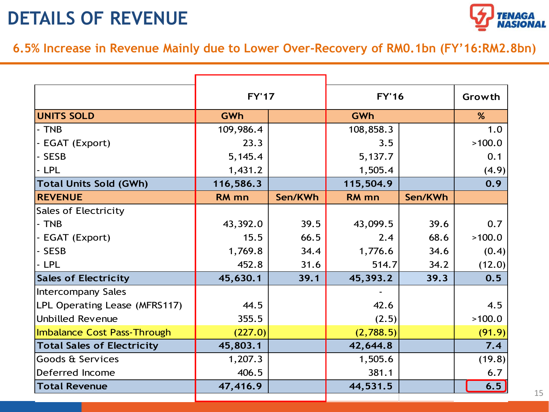# **DETAILS OF REVENUE**



**6.5% Increase in Revenue Mainly due to Lower Over-Recovery of RM0.1bn (FY'16:RM2.8bn)** 

|                                    | <b>FY'17</b> |         | <b>FY'16</b>     | Growth  |        |
|------------------------------------|--------------|---------|------------------|---------|--------|
| <b>UNITS SOLD</b>                  | <b>GWh</b>   |         | <b>GWh</b>       | %       |        |
| - TNB                              | 109,986.4    |         | 108,858.3        |         | 1.0    |
| - EGAT (Export)                    | 23.3         |         | 3.5              |         | >100.0 |
| - SESB                             | 5,145.4      |         | 5,137.7          |         | 0.1    |
| - LPL                              | 1,431.2      |         | 1,505.4          |         | (4.9)  |
| <b>Total Units Sold (GWh)</b>      | 116,586.3    |         | 115,504.9        |         | 0.9    |
| <b>REVENUE</b>                     | <b>RM</b> mn | Sen/KWh | RM <sub>mn</sub> | Sen/KWh |        |
| <b>Sales of Electricity</b>        |              |         |                  |         |        |
| - TNB                              | 43,392.0     | 39.5    | 43,099.5         | 39.6    | 0.7    |
| - EGAT (Export)                    | 15.5         | 66.5    | 2.4              | 68.6    | >100.0 |
| - SESB                             | 1,769.8      | 34.4    | 1,776.6          | 34.6    | (0.4)  |
| - LPL                              | 452.8        | 31.6    | 514.7            | 34.2    | (12.0) |
| <b>Sales of Electricity</b>        | 45,630.1     | 39.1    | 45,393.2         | 39.3    | 0.5    |
| <b>Intercompany Sales</b>          |              |         |                  |         |        |
| LPL Operating Lease (MFRS117)      | 44.5         |         | 42.6             |         | 4.5    |
| <b>Unbilled Revenue</b>            | 355.5        |         | (2.5)            |         | >100.0 |
| <b>Imbalance Cost Pass-Through</b> | (227.0)      |         | (2,788.5)        |         | (91.9) |
| <b>Total Sales of Electricity</b>  | 45,803.1     |         | 42,644.8         |         | 7.4    |
| Goods & Services                   | 1,207.3      |         | 1,505.6          |         | (19.8) |
| Deferred Income                    | 406.5        |         | 381.1            |         | 6.7    |
| <b>Total Revenue</b>               | 47,416.9     |         | 44,531.5         |         | 6.5    |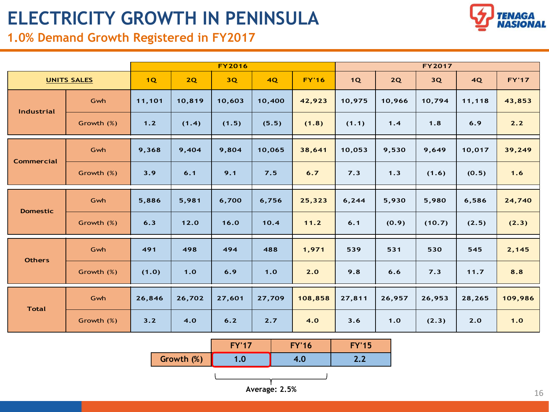# **ELECTRICITY GROWTH IN PENINSULA**

### **1.0% Demand Growth Registered in FY2017**

|  | <b>TENAGA</b><br><b>NASIONAL</b> |
|--|----------------------------------|
|--|----------------------------------|

| ₩<br>1.0% Demand Growth Registered in FY2017 |                    |        |        |        |        |              |        |        |        | NASIONA |              |
|----------------------------------------------|--------------------|--------|--------|--------|--------|--------------|--------|--------|--------|---------|--------------|
| <b>FY2016</b><br><b>FY2017</b>               |                    |        |        |        |        |              |        |        |        |         |              |
|                                              | <b>UNITS SALES</b> | 1Q     | 2Q     | 3Q     | 4Q     | <b>FY'16</b> | 1Q     | 2Q     | 3Q     | 4Q      | <b>FY'17</b> |
|                                              | Gwh                | 11,101 | 10,819 | 10,603 | 10,400 | 42,923       | 10,975 | 10,966 | 10,794 | 11,118  | 43,853       |
| Industrial                                   | Growth (%)         | 1.2    | (1.4)  | (1.5)  | (5.5)  | (1.8)        | (1.1)  | 1.4    | 1.8    | 6.9     | 2.2          |
|                                              | Gwh                | 9,368  | 9,404  | 9,804  | 10,065 | 38,641       | 10,053 | 9,530  | 9,649  | 10,017  | 39,249       |
| <b>Commercial</b>                            | Growth (%)         | 3.9    | 6.1    | 9.1    | 7.5    | 6.7          | 7.3    | 1.3    | (1.6)  | (0.5)   | $1.6$        |
| <b>Domestic</b>                              | Gwh                | 5,886  | 5,981  | 6,700  | 6,756  | 25,323       | 6, 244 | 5,930  | 5,980  | 6,586   | 24,740       |
|                                              | Growth (%)         | 6.3    | 12.0   | 16.0   | 10.4   | 11.2         | 6.1    | (0.9)  | (10.7) | (2.5)   | (2.3)        |
|                                              | Gwh                | 491    | 498    | 494    | 488    | 1,971        | 539    | 531    | 530    | 545     | 2,145        |
| <b>Others</b>                                | Growth (%)         | (1.0)  | 1.0    | 6.9    | 1.0    | 2.0          | 9.8    | 6.6    | 7.3    | 11.7    | 8.8          |
| <b>Total</b>                                 | Gwh                | 26,846 | 26,702 | 27,601 | 27,709 | 108,858      | 27,811 | 26,957 | 26,953 | 28,265  | 109,986      |
|                                              | Growth (%)         | 3.2    | 4.0    | 6.2    | 2.7    | 4.0          | 3.6    | 1.0    | (2.3)  | 2.0     | 1.0          |

|            | $FV'$ 17        | <b>FY'16</b> | <b>FY'15</b> |
|------------|-----------------|--------------|--------------|
| Growth (%) | .0 <sub>l</sub> | 7.U          | L.L          |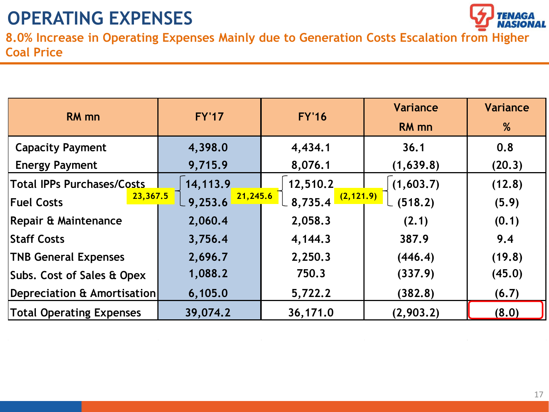

**8.0% Increase in Operating Expenses Mainly due to Generation Costs Escalation from Higher Coal Price** 

| <b>RM</b> mn                      | <b>FY'17</b>                          | <b>FY'16</b>        | Variance     | Variance |
|-----------------------------------|---------------------------------------|---------------------|--------------|----------|
|                                   |                                       |                     | <b>RM</b> mn | %        |
| <b>Capacity Payment</b>           | 4,398.0                               | 4,434.1             | 36.1         | 0.8      |
| <b>Energy Payment</b>             | 9,715.9                               | 8,076.1             | (1,639.8)    | (20.3)   |
| <b>Total IPPs Purchases/Costs</b> | 14, 113.9                             | 12,510.2            | (1,603.7)    | (12.8)   |
| 23,367.5<br><b>Fuel Costs</b>     | 21,245.6<br>$\lfloor 9,253.6 \rfloor$ | 8,735.4 $(2,121.9)$ | (518.2)      | (5.9)    |
| Repair & Maintenance              | 2,060.4                               | 2,058.3             | (2.1)        | (0.1)    |
| <b>Staff Costs</b>                | 3,756.4                               | 4,144.3             | 387.9        | 9.4      |
| <b>TNB General Expenses</b>       | 2,696.7                               | 2,250.3             | (446.4)      | (19.8)   |
| Subs. Cost of Sales & Opex        | 1,088.2                               | 750.3               | (337.9)      | (45.0)   |
| Depreciation & Amortisation       | 6,105.0                               | 5,722.2             | (382.8)      | (6.7)    |
| <b>Total Operating Expenses</b>   | 39,074.2                              | 36,171.0            | (2,903.2)    | (8.0)    |

 $\sim 10^{-1}$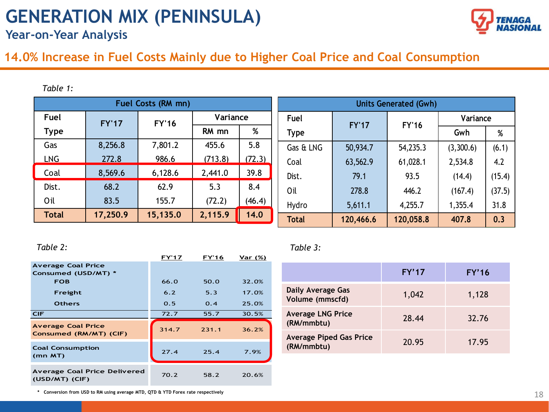# **GENERATION MIX (PENINSULA)**



**Year-on-Year Analysis**

### **14.0% Increase in Fuel Costs Mainly due to Higher Coal Price and Coal Consumption**

*Table 1:*

| Fuel Costs (RM mn) |              |              |          |        |              |              | <b>Units Generated (Gwh)</b> |           |        |     |   |
|--------------------|--------------|--------------|----------|--------|--------------|--------------|------------------------------|-----------|--------|-----|---|
| Fuel               | <b>FY'17</b> | <b>FY'16</b> | Variance |        | Fuel         | <b>FY'17</b> | <b>FY'16</b>                 | Variance  |        |     |   |
| <b>Type</b>        |              |              | RM mn    | %      | <b>Type</b>  |              |                              |           |        | Gwh | % |
| Gas                | 8,256.8      | 7,801.2      | 455.6    | 5.8    | Gas & LNG    | 50,934.7     | 54,235.3                     | (3,300.6) | (6.1)  |     |   |
| <b>LNG</b>         | 272.8        | 986.6        | (713.8)  | (72.3) | Coal         | 63,562.9     | 61,028.1                     | 2,534.8   | 4.2    |     |   |
| Coal               | 8,569.6      | 6,128.6      | 2,441.0  | 39.8   | Dist.        | 79.1         | 93.5                         | (14.4)    | (15.4) |     |   |
| Dist.              | 68.2         | 62.9         | 5.3      | 8.4    | Oil          | 278.8        | 446.2                        | (167.4)   | (37.5) |     |   |
| Oil                | 83.5         | 155.7        | (72.2)   | (46.4) | Hydro        | 5,611.1      | 4,255.7                      | 1,355.4   | 31.8   |     |   |
| <b>Total</b>       | 17,250.9     | 15,135.0     | 2,115.9  | 14.0   | <b>Total</b> | 120,466.6    | 120,058.8                    | 407.8     | 0.3    |     |   |

|                                                     | <b>FY'17</b> | <b>FY'16</b> | Var (%) |
|-----------------------------------------------------|--------------|--------------|---------|
| <b>Average Coal Price</b><br>Consumed (USD/MT) *    |              |              |         |
| <b>FOB</b>                                          | 66.0         | 50.0         | 32.0%   |
| Freight                                             | 6.2          | 5.3          | 17.0%   |
| <b>Others</b>                                       | 0.5          | 0.4          | 25.0%   |
| <b>CIF</b>                                          | 72.7         | 55.7         | 30.5%   |
|                                                     |              |              |         |
| <b>Average Coal Price</b><br>Consumed (RM/MT) (CIF) | 314.7        | 231.1        | 36.2%   |
| <b>Coal Consumption</b><br>$(mn$ MT $)$             | 27.4         | 25.4         | 7.9%    |

*Table 2: Table 3:*

|                                              | FY'17 | FY'16 |
|----------------------------------------------|-------|-------|
| <b>Daily Average Gas</b><br>Volume (mmscfd)  | 1,042 | 1,128 |
| <b>Average LNG Price</b><br>(RM/mmbtu)       | 28.44 | 32.76 |
| <b>Average Piped Gas Price</b><br>(RM/mmbtu) | 20.95 | 17.95 |

**\* Conversion from USD to RM using average MTD, QTD & YTD Forex rate respectively**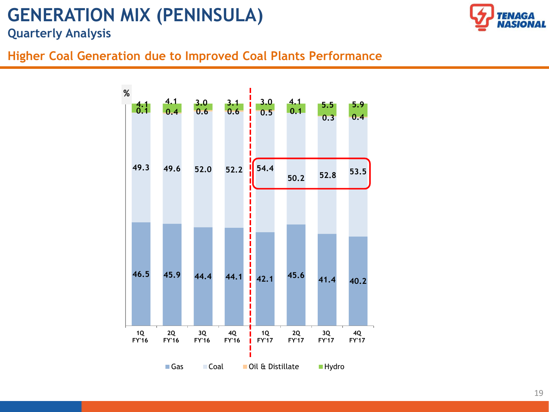## **GENERATION MIX (PENINSULA)**



**Quarterly Analysis**

### **Higher Coal Generation due to Improved Coal Plants Performance**

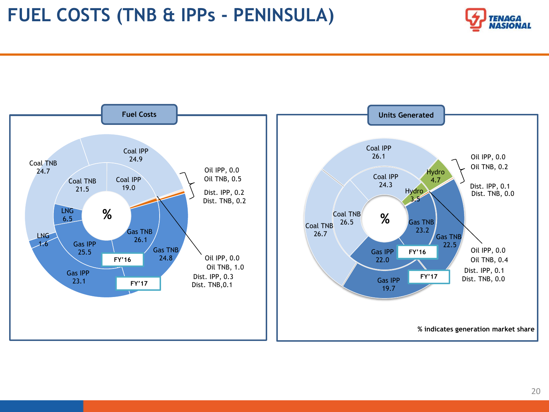

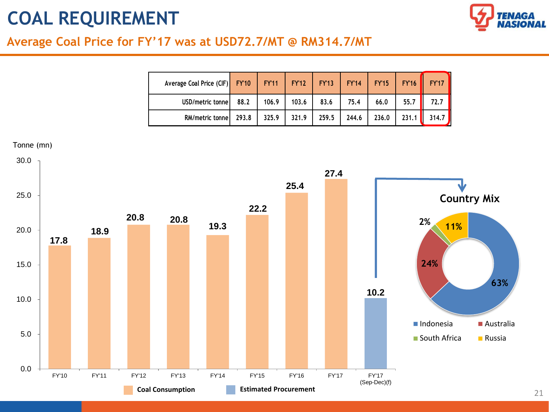# **COAL REQUIREMENT**



### **Average Coal Price for FY'17 was at USD72.7/MT @ RM314.7/MT**

| Average Coal Price (CIF) FY'10 |       | <b>FY'11   FY'12</b> |       | <b>FY'13</b> | <b>FY'14</b> | <b>FY'15</b> | <b>FY'16</b> | <b>FY'17</b>       |
|--------------------------------|-------|----------------------|-------|--------------|--------------|--------------|--------------|--------------------|
| USD/metric tonne               | 88.2  | 106.9                | 103.6 | 83.6         | 75.4         | 66.0         | 55,7         | 72.7               |
| RM/metric tonne                | 293.8 | 325.9                | 321.9 | 259.5        | 244.6        | 236.0        | 231.1        | 314.7 <sub>h</sub> |

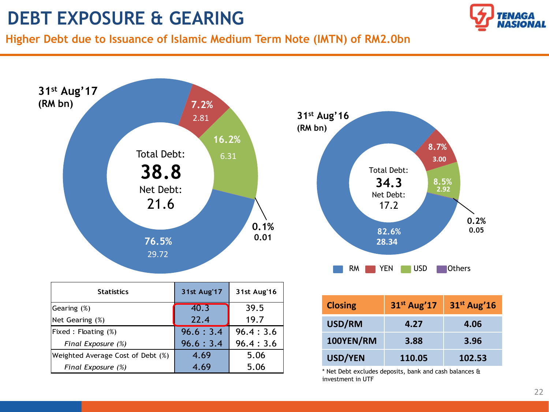## **DEBT EXPOSURE & GEARING**



**Higher Debt due to Issuance of Islamic Medium Term Note (IMTN) of RM2.0bn**



Fixed : Floating  $\left(\% \right)$  96.6 : 3.4 96.4 : 3.6 *Final Exposure (%)*  $\begin{array}{|c|c|c|c|c|} \hline \end{array}$  96.6 : 3.4 | 96.4 : 3.6

Weighted Average Cost of Debt  $(\%)$  | 4.69 | 5.06  *Final Exposure (%)* 4.69 5.06

| <b>Closing</b> | 31 <sup>st</sup> Aug'17 | $31st$ Aug'16 |
|----------------|-------------------------|---------------|
| USD/RM         | 4.27                    | 4.06          |
| 100YEN/RM      | 3.88                    | 3.96          |
| <b>USD/YEN</b> | 110.05                  | 102.53        |

**3.00**

**8.7%**

**2.92**

**0.2% 0.05**

**8.5%**

\* Net Debt excludes deposits, bank and cash balances & investment in UTF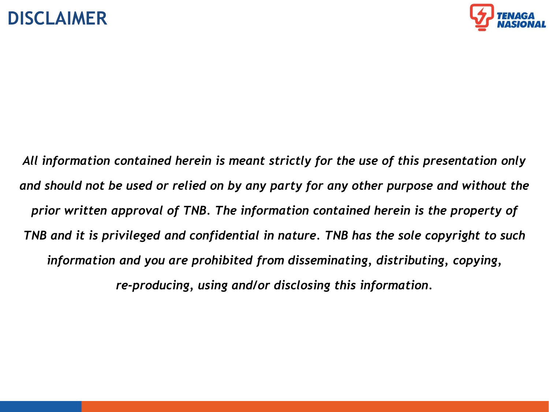### **DISCLAIMER**



*All information contained herein is meant strictly for the use of this presentation only and should not be used or relied on by any party for any other purpose and without the prior written approval of TNB. The information contained herein is the property of TNB and it is privileged and confidential in nature. TNB has the sole copyright to such information and you are prohibited from disseminating, distributing, copying, re-producing, using and/or disclosing this information.*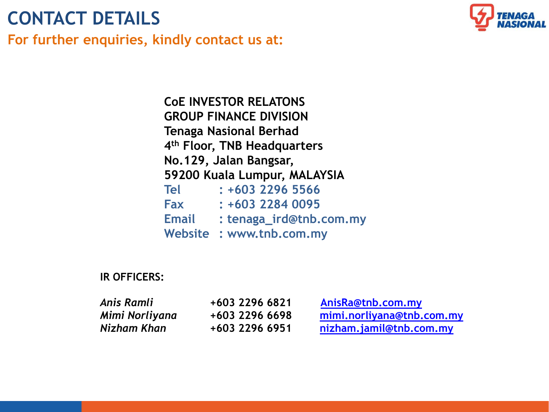# **CONTACT DETAILS**

**For further enquiries, kindly contact us at:**



**CoE INVESTOR RELATONS GROUP FINANCE DIVISION Tenaga Nasional Berhad 4 th Floor, TNB Headquarters No.129, Jalan Bangsar, 59200 Kuala Lumpur, MALAYSIA Tel : +603 2296 5566 Fax : +603 2284 0095 Email : tenaga\_ird@tnb.com.my Website : www.tnb.com.my**

### **IR OFFICERS:**

| Anis Ramli     | +603 2296 6821 | AnisRa@tnb.com.my         |
|----------------|----------------|---------------------------|
| Mimi Norliyana | +603 2296 6698 | mimi.norliyana@tnb.com.my |
| Nizham Khan    | +603 2296 6951 | nizham.jamil@tnb.com.my   |